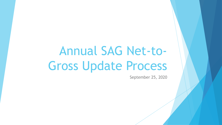# Annual SAG Net-to-Gross Update Process

September 25, 2020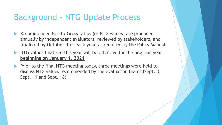# Background – NTG Update Process

- Recommended Net-to-Gross ratios (or NTG values) are produced annually by independent evaluators, reviewed by stakeholders, and **finalized by October 1** of each year, as required by the Policy Manual
- NTG values finalized this year will be effective for the program year **beginning on January 1, 2021**
- Prior to the final NTG meeting today, three meetings were held to discuss NTG values recommended by the evaluation teams (Sept. 3, Sept. 11 and Sept. 18)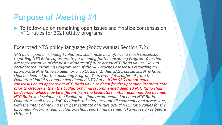### Purpose of Meeting #4

▶ To follow-up on remaining open issues and finalize consensus on NTG ratios for 2021 utility programs

#### Excerpted NTG policy language (Policy Manual Section 7.2):

*SAG participants, including Evaluators, shall make best efforts to reach consensus regarding NTG Ratios appropriate for deeming for the upcoming Program Year that are representative of the best estimates of future actual NTG Ratio values likely to occur for the upcoming Program Year. If the SAG reaches consensus regarding an appropriate NTG Ratio to deem prior to October 1, then SAG's consensus NTG Ratio shall be deemed for the upcoming Program Year, even if it is different from the Evaluators' initial recommended deemed NTG Ratio. If the SAG cannot reach consensus on an appropriate NTG Ratio value to deem for the upcoming Program Year prior to October 1, then the Evaluators' final recommended deemed NTG Ratio shall be deemed, which may be different from the Evaluators' initial recommended deemed NTG Ratio. In developing the Evaluators' final recommended deemed NTG Ratio, Evaluators shall review SAG feedback, take into account all comments and discussions, with the intent of making their best estimate of future actual NTG Ratio values for the upcoming Program Year. Evaluators shall report final deemed NTG values on or before October 1.*